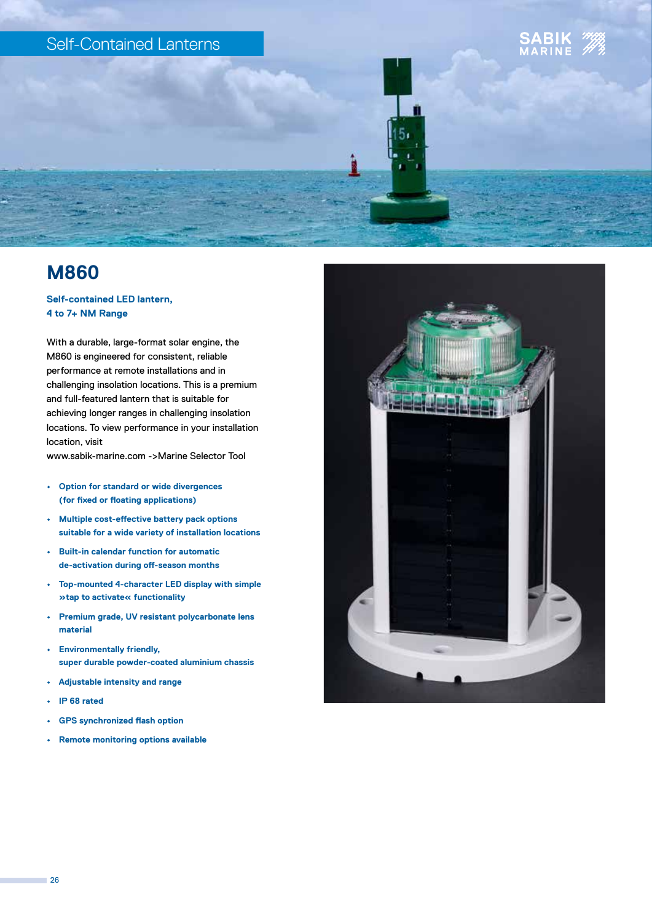## Self-Contained Lanterns





#### **Self-contained LED lantern, 4 to 7+ NM Range**

With a durable, large-format solar engine, the M860 is engineered for consistent, reliable performance at remote installations and in challenging insolation locations. This is a premium and full-featured lantern that is suitable for achieving longer ranges in challenging insolation locations. To view performance in your installation location, visit

www.sabik-marine.com ->Marine Selector Tool

- **• Option for standard or wide divergences (for fixed or floating applications)**
- **• Multiple cost-effective battery pack options suitable for a wide variety of installation locations**
- **• Built-in calendar function for automatic de-activation during off-season months**
- **• Top-mounted 4-character LED display with simple »tap to activate« functionality**
- **• Premium grade, UV resistant polycarbonate lens material**
- **• Environmentally friendly, super durable powder-coated aluminium chassis**
- **• Adjustable intensity and range**
- **• IP 68 rated**
- **• GPS synchronized flash option**
- **• Remote monitoring options available**